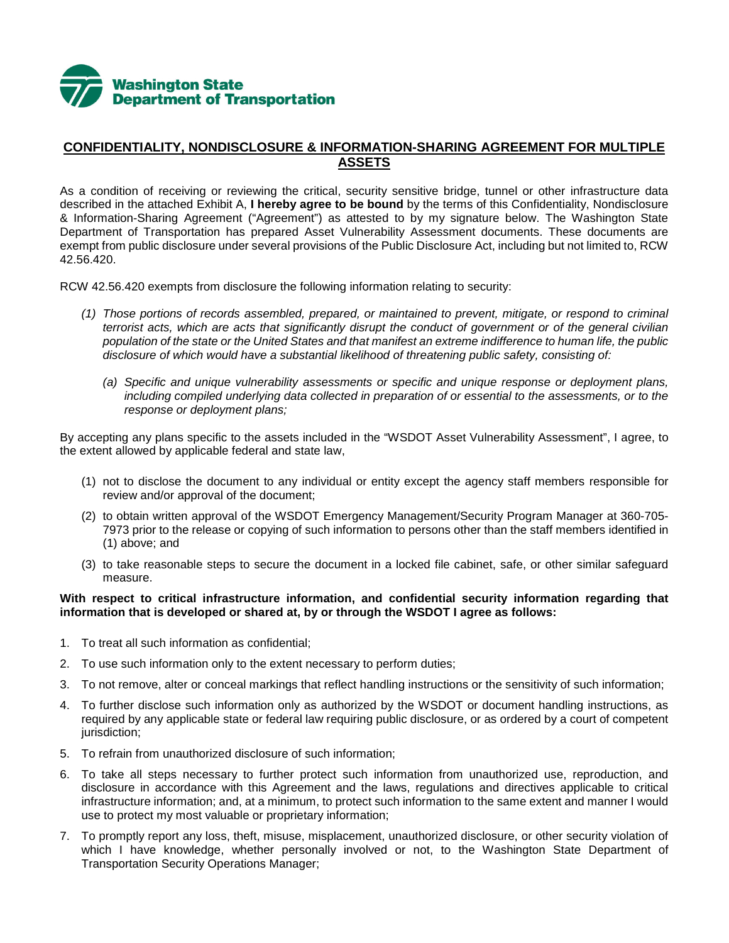

## **CONFIDENTIALITY, NONDISCLOSURE & INFORMATION-SHARING AGREEMENT FOR MULTIPLE ASSETS**

As a condition of receiving or reviewing the critical, security sensitive bridge, tunnel or other infrastructure data described in the attached Exhibit A, **I hereby agree to be bound** by the terms of this Confidentiality, Nondisclosure & Information-Sharing Agreement ("Agreement") as attested to by my signature below. The Washington State Department of Transportation has prepared Asset Vulnerability Assessment documents. These documents are exempt from public disclosure under several provisions of the Public Disclosure Act, including but not limited to, RCW 42.56.420.

RCW 42.56.420 exempts from disclosure the following information relating to security:

- *(1) Those portions of records assembled, prepared, or maintained to prevent, mitigate, or respond to criminal terrorist acts, which are acts that significantly disrupt the conduct of government or of the general civilian population of the state or the United States and that manifest an extreme indifference to human life, the public disclosure of which would have a substantial likelihood of threatening public safety, consisting of:*
	- *(a) Specific and unique vulnerability assessments or specific and unique response or deployment plans, including compiled underlying data collected in preparation of or essential to the assessments, or to the response or deployment plans;*

By accepting any plans specific to the assets included in the "WSDOT Asset Vulnerability Assessment", I agree, to the extent allowed by applicable federal and state law,

- (1) not to disclose the document to any individual or entity except the agency staff members responsible for review and/or approval of the document;
- (2) to obtain written approval of the WSDOT Emergency Management/Security Program Manager at 360-705- 7973 prior to the release or copying of such information to persons other than the staff members identified in (1) above; and
- (3) to take reasonable steps to secure the document in a locked file cabinet, safe, or other similar safeguard measure.

## **With respect to critical infrastructure information, and confidential security information regarding that information that is developed or shared at, by or through the WSDOT I agree as follows:**

- 1. To treat all such information as confidential;
- 2. To use such information only to the extent necessary to perform duties;
- 3. To not remove, alter or conceal markings that reflect handling instructions or the sensitivity of such information;
- 4. To further disclose such information only as authorized by the WSDOT or document handling instructions, as required by any applicable state or federal law requiring public disclosure, or as ordered by a court of competent jurisdiction;
- 5. To refrain from unauthorized disclosure of such information;
- 6. To take all steps necessary to further protect such information from unauthorized use, reproduction, and disclosure in accordance with this Agreement and the laws, regulations and directives applicable to critical infrastructure information; and, at a minimum, to protect such information to the same extent and manner I would use to protect my most valuable or proprietary information;
- 7. To promptly report any loss, theft, misuse, misplacement, unauthorized disclosure, or other security violation of which I have knowledge, whether personally involved or not, to the Washington State Department of Transportation Security Operations Manager;